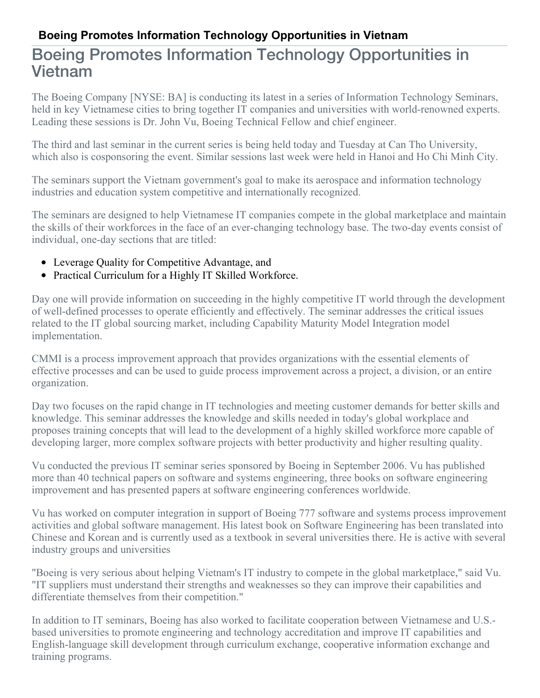## **Boeing Promotes Information Technology Opportunities in Vietnam**

## Boeing Promotes Information Technology Opportunities in Vietnam

The Boeing Company [NYSE: BA] is conducting its latest in a series of Information Technology Seminars, held in key Vietnamese cities to bring together IT companies and universities with world-renowned experts. Leading these sessions is Dr. John Vu, Boeing Technical Fellow and chief engineer.

The third and last seminar in the current series is being held today and Tuesday at Can Tho University, which also is cosponsoring the event. Similar sessions last week were held in Hanoi and Ho Chi Minh City.

The seminars support the Vietnam government's goal to make its aerospace and information technology industries and education system competitive and internationally recognized.

The seminars are designed to help Vietnamese IT companies compete in the global marketplace and maintain the skills of their workforces in the face of an ever-changing technology base. The two-day events consist of individual, one-day sections that are titled:

- Leverage Quality for Competitive Advantage, and
- Practical Curriculum for a Highly IT Skilled Workforce.

Day one will provide information on succeeding in the highly competitive IT world through the development of well-defined processes to operate efficiently and effectively. The seminar addresses the critical issues related to the IT global sourcing market, including Capability Maturity Model Integration model implementation.

CMMI is a process improvement approach that provides organizations with the essential elements of effective processes and can be used to guide process improvement across a project, a division, or an entire organization.

Day two focuses on the rapid change in IT technologies and meeting customer demands for better skills and knowledge. This seminar addresses the knowledge and skills needed in today's global workplace and proposes training concepts that will lead to the development of a highly skilled workforce more capable of developing larger, more complex software projects with better productivity and higher resulting quality.

Vu conducted the previous IT seminar series sponsored by Boeing in September 2006. Vu has published more than 40 technical papers on software and systems engineering, three books on software engineering improvement and has presented papers at software engineering conferences worldwide.

Vu has worked on computer integration in support of Boeing 777 software and systems process improvement activities and global software management. His latest book on Software Engineering has been translated into Chinese and Korean and is currently used as a textbook in several universities there. He is active with several industry groups and universities

"Boeing is very serious about helping Vietnam's IT industry to compete in the global marketplace," said Vu. "IT suppliers must understand their strengths and weaknesses so they can improve their capabilities and differentiate themselves from their competition."

In addition to IT seminars, Boeing has also worked to facilitate cooperation between Vietnamese and U.S. based universities to promote engineering and technology accreditation and improve IT capabilities and English-language skill development through curriculum exchange, cooperative information exchange and training programs.